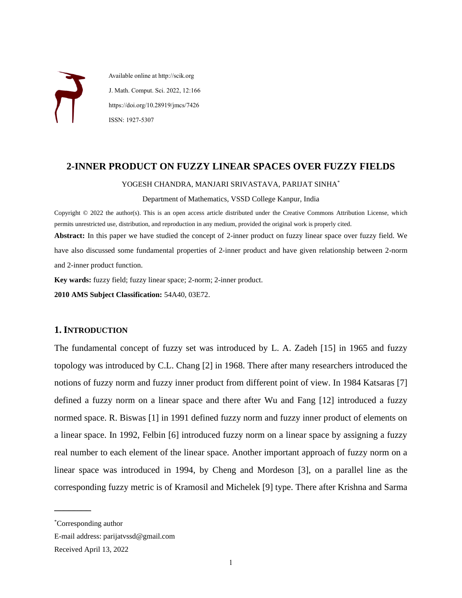Available online at http://scik.org J. Math. Comput. Sci. 2022, 12:166 https://doi.org/10.28919/jmcs/7426 ISSN: 1927-5307

## **2-INNER PRODUCT ON FUZZY LINEAR SPACES OVER FUZZY FIELDS**

#### YOGESH CHANDRA, MANJARI SRIVASTAVA, PARIJAT SINHA\*

#### Department of Mathematics, VSSD College Kanpur, India

Copyright © 2022 the author(s). This is an open access article distributed under the Creative Commons Attribution License, which permits unrestricted use, distribution, and reproduction in any medium, provided the original work is properly cited.

**Abstract:** In this paper we have studied the concept of 2-inner product on fuzzy linear space over fuzzy field. We have also discussed some fundamental properties of 2-inner product and have given relationship between 2-norm and 2-inner product function.

**Key wards:** fuzzy field; fuzzy linear space; 2-norm; 2-inner product.

**2010 AMS Subject Classification:** 54A40, 03E72.

# **1. INTRODUCTION**

The fundamental concept of fuzzy set was introduced by L. A. Zadeh [15] in 1965 and fuzzy topology was introduced by C.L. Chang [2] in 1968. There after many researchers introduced the notions of fuzzy norm and fuzzy inner product from different point of view. In 1984 Katsaras [7] defined a fuzzy norm on a linear space and there after Wu and Fang [12] introduced a fuzzy normed space. R. Biswas [1] in 1991 defined fuzzy norm and fuzzy inner product of elements on a linear space. In 1992, Felbin [6] introduced fuzzy norm on a linear space by assigning a fuzzy real number to each element of the linear space. Another important approach of fuzzy norm on a linear space was introduced in 1994, by Cheng and Mordeson [3], on a parallel line as the corresponding fuzzy metric is of Kramosil and Michelek [9] type. There after Krishna and Sarma

 $\overline{\phantom{a}}$  , where  $\overline{\phantom{a}}$ 

<sup>\*</sup>Corresponding author

E-mail address: parijatvssd@gmail.com

Received April 13, 2022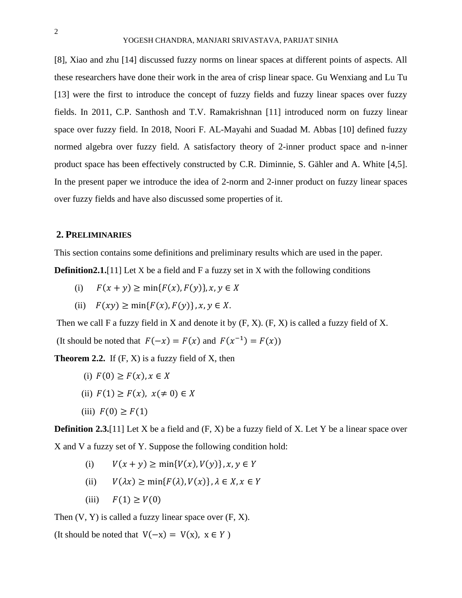[8], Xiao and zhu [14] discussed fuzzy norms on linear spaces at different points of aspects. All these researchers have done their work in the area of crisp linear space. Gu Wenxiang and Lu Tu [13] were the first to introduce the concept of fuzzy fields and fuzzy linear spaces over fuzzy fields. In 2011, C.P. Santhosh and T.V. Ramakrishnan [11] introduced norm on fuzzy linear space over fuzzy field. In 2018, Noori F. AL-Mayahi and Suadad M. Abbas [10] defined fuzzy normed algebra over fuzzy field. A satisfactory theory of 2-inner product space and n-inner product space has been effectively constructed by C.R. Diminnie, S. Gähler and A. White [4,5]. In the present paper we introduce the idea of 2-norm and 2-inner product on fuzzy linear spaces over fuzzy fields and have also discussed some properties of it.

## **2. PRELIMINARIES**

This section contains some definitions and preliminary results which are used in the paper. **Definition2.1.**[11] Let X be a field and F a fuzzy set in X with the following conditions

- (i)  $F(x + y) \ge \min\{F(x), F(y)\}, x, y \in X$
- (ii)  $F(xy) \ge \min\{F(x), F(y)\}, x, y \in X$ .

Then we call F a fuzzy field in X and denote it by  $(F, X)$ .  $(F, X)$  is called a fuzzy field of X.

(It should be noted that  $F(-x) = F(x)$  and  $F(x^{-1}) = F(x)$ )

**Theorem 2.2.** If  $(F, X)$  is a fuzzy field of X, then

- (i)  $F(0) \geq F(x), x \in X$ (ii)  $F(1) \geq F(x), x (\neq 0) \in X$
- (iii)  $F(0) \geq F(1)$

**Definition 2.3.**[11] Let X be a field and  $(F, X)$  be a fuzzy field of X. Let Y be a linear space over X and V a fuzzy set of Y. Suppose the following condition hold:

- (i)  $V(x + y) \ge \min\{V(x), V(y)\}, x, y \in Y$
- (ii)  $V(\lambda x) \ge \min\{F(\lambda),V(x)\}, \lambda \in X, x \in Y$
- (iii)  $F(1) \ge V(0)$

Then  $(V, Y)$  is called a fuzzy linear space over  $(F, X)$ .

(It should be noted that  $V(-x) = V(x)$ ,  $x \in Y$ )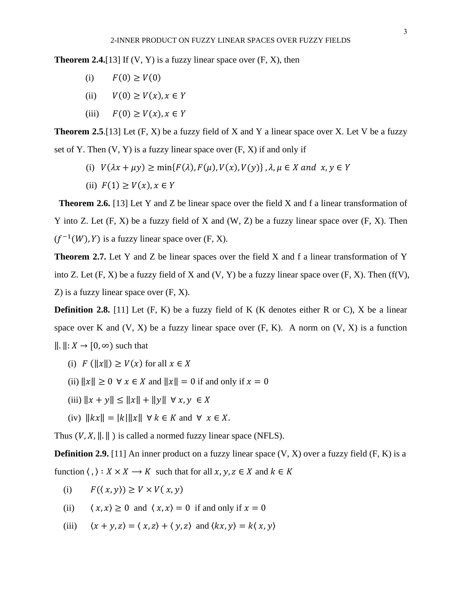**Theorem 2.4.**[13] If  $(V, Y)$  is a fuzzy linear space over  $(F, X)$ , then

- (i)  $F(0) \ge V(0)$
- (ii)  $V(0) \ge V(x), x \in Y$
- (iii)  $F(0) \ge V(x), x \in Y$

**Theorem 2.5**.[13] Let (F, X) be a fuzzy field of X and Y a linear space over X. Let V be a fuzzy set of Y. Then  $(V, Y)$  is a fuzzy linear space over  $(F, X)$  if and only if

- (i)  $V(\lambda x + \mu y) \ge \min\{F(\lambda), F(\mu), V(x), V(y)\}, \lambda, \mu \in X$  and  $x, y \in Y$
- (ii)  $F(1) \ge V(x), x \in Y$

**Theorem 2.6.** [13] Let Y and Z be linear space over the field X and f a linear transformation of Y into Z. Let  $(F, X)$  be a fuzzy field of X and  $(W, Z)$  be a fuzzy linear space over  $(F, X)$ . Then  $(f^{-1}(W), Y)$  is a fuzzy linear space over  $(F, X)$ .

**Theorem 2.7.** Let Y and Z be linear spaces over the field X and f a linear transformation of Y into Z. Let  $(F, X)$  be a fuzzy field of X and  $(V, Y)$  be a fuzzy linear space over  $(F, X)$ . Then  $(f(V), f)$ Z) is a fuzzy linear space over (F, X).

**Definition 2.8.** [11] Let  $(F, K)$  be a fuzzy field of K (K denotes either R or C), X be a linear space over K and  $(V, X)$  be a fuzzy linear space over  $(F, K)$ . A norm on  $(V, X)$  is a function  $\Vert . \Vert : X \to [0, \infty)$  such that

- (i)  $F(||x||) \ge V(x)$  for all  $x \in X$
- (ii)  $||x|| \ge 0 \ \forall x \in X$  and  $||x|| = 0$  if and only if  $x = 0$
- (iii)  $||x + y|| \le ||x|| + ||y|| \forall x, y \in X$
- (iv)  $\|kx\| = |k| \|x\| \forall k \in K$  and  $\forall x \in X$ .

Thus  $(V, X, \|\. \|)$  is called a normed fuzzy linear space (NFLS).

**Definition 2.9.** [11] An inner product on a fuzzy linear space  $(V, X)$  over a fuzzy field  $(F, K)$  is a function  $\langle , \rangle : X \times X \longrightarrow K$  such that for all  $x, y, z \in X$  and  $k \in K$ 

- (i)  $F(\langle x, y \rangle) \geq V \times V(x, y)$
- (ii)  $\langle x, x \rangle \ge 0$  and  $\langle x, x \rangle = 0$  if and only if  $x = 0$
- (iii)  $\langle x + y, z \rangle = \langle x, z \rangle + \langle y, z \rangle$  and  $\langle kx, y \rangle = k \langle x, y \rangle$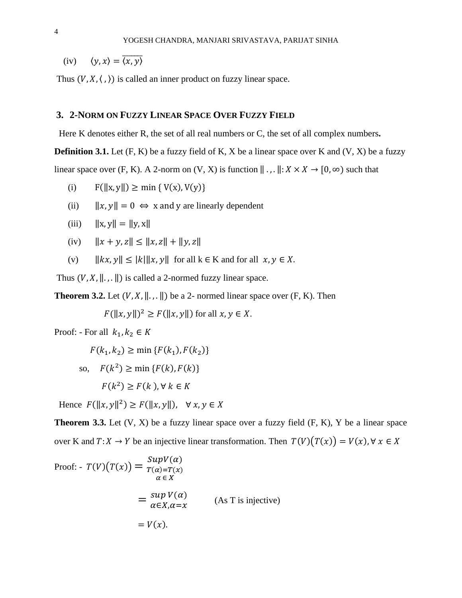(iv)  $\langle y, x \rangle = \overline{\langle x, y \rangle}$ 

Thus  $(V, X, \langle , \rangle)$  is called an inner product on fuzzy linear space.

## **3. 2-NORM ON FUZZY LINEAR SPACE OVER FUZZY FIELD**

Here K denotes either R, the set of all real numbers or C, the set of all complex numbers**.**

**Definition 3.1.** Let  $(F, K)$  be a fuzzy field of K, X be a linear space over K and  $(V, X)$  be a fuzzy

linear space over (F, K). A 2-norm on (V, X) is function  $\| \cdot, \cdot \| : X \times X \to [0, \infty)$  such that

- (i)  $F(||x, y||) \ge \min \{ V(x), V(y) \}$
- (ii)  $||x, y|| = 0 \Leftrightarrow x$  and y are linearly dependent
- (iii)  $\|x, y\| = \|y, x\|$
- (iv)  $||x + y, z|| \le ||x, z|| + ||y, z||$
- (v)  $||kx, y|| \le |k| ||x, y||$  for all  $k \in K$  and for all  $x, y \in X$ .

Thus  $(V, X, \|\cdot\|)$  is called a 2-normed fuzzy linear space.

**Theorem 3.2.** Let  $(V, X, \|\cdot\|)$  be a 2- normed linear space over  $(F, K)$ . Then

 $F(||x, y||)^2 \geq F(||x, y||)$  for all  $x, y \in X$ .

Proof: - For all  $k_1, k_2 \in K$ 

$$
F(k_1, k_2) \ge \min \{ F(k_1), F(k_2) \}
$$
  
so, 
$$
F(k^2) \ge \min \{ F(k), F(k) \}
$$
  

$$
F(k^2) \ge F(k), \forall k \in K
$$

Hence  $F(||x, y||^2) \ge F(||x, y||)$ ,  $\forall x, y \in X$ 

**Theorem 3.3.** Let  $(V, X)$  be a fuzzy linear space over a fuzzy field  $(F, K)$ , Y be a linear space over K and  $T: X \to Y$  be an injective linear transformation. Then  $T(V)(T(x)) = V(x)$ ,  $\forall x \in X$ 

Proof: 
$$
T(V)(T(x)) = \frac{SupV(\alpha)}{T(\alpha) = T(x)}
$$

$$
= \frac{sup V(\alpha)}{\alpha \in X}
$$

$$
= \frac{sup V(\alpha)}{\alpha \in X, \alpha = x}
$$
 (As T is injective)
$$
= V(x).
$$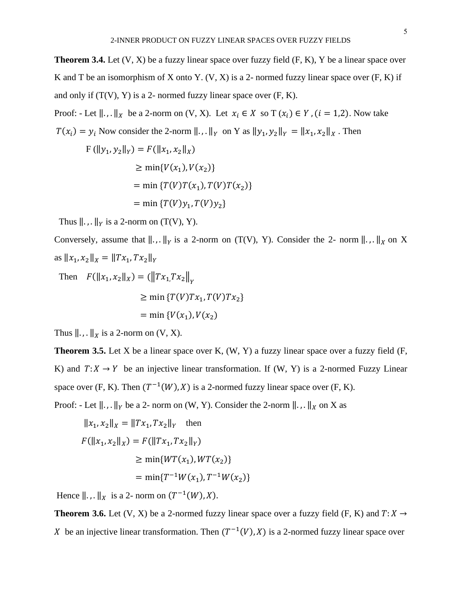Proof: - Let  $\|\cdot\|_X$  be a 2-norm on  $(V, X)$ . Let  $x_i \in X$  so  $T(x_i) \in Y$ ,  $(i = 1, 2)$ . Now take  $T(x_i) = y_i$  Now consider the 2-norm  $||...||_Y$  on Y as  $||y_1, y_2||_Y = ||x_1, x_2||_X$ . Then

$$
F(||y_1, y_2||_Y) = F(||x_1, x_2||_X)
$$
  
\n
$$
\ge \min\{V(x_1), V(x_2)\}
$$
  
\n
$$
= \min\{T(V)T(x_1), T(V)T(x_2)\}
$$
  
\n
$$
= \min\{T(V)y_1, T(V)y_2\}
$$

Thus  $\|\cdot\|_Y$  is a 2-norm on  $(T(V), Y)$ .

Conversely, assume that  $\| \cdot \|_Y$  is a 2-norm on (T(V), Y). Consider the 2- norm  $\| \cdot \|_X$  on X as  $||x_1, x_2||_X = ||Tx_1, Tx_2||_Y$ 

Then 
$$
F(||x_1, x_2||_X) = (||Tx_1, Tx_2||_Y)
$$
  
\n $\ge \min \{T(V)Tx_1, T(V)Tx_2\}$   
\n $= \min \{V(x_1), V(x_2)\}$ 

Thus  $\parallel$ .,.  $\parallel$ <sub>X</sub> is a 2-norm on (V, X).

**Theorem 3.5.** Let X be a linear space over K, (W, Y) a fuzzy linear space over a fuzzy field (F, K) and  $T: X \to Y$  be an injective linear transformation. If (W, Y) is a 2-normed Fuzzy Linear space over (F, K). Then  $(T^{-1}(W), X)$  is a 2-normed fuzzy linear space over (F, K). Proof: - Let  $\|\cdot\|_Y$  be a 2- norm on (W, Y). Consider the 2-norm  $\|\cdot\|_X$  on X as

$$
||x_1, x_2||_X = ||Tx_1, Tx_2||_Y \text{ then}
$$
  
\n
$$
F(||x_1, x_2||_X) = F(||Tx_1, Tx_2||_Y)
$$
  
\n
$$
\ge \min\{WT(x_1), WT(x_2)\}
$$
  
\n
$$
= \min\{T^{-1}W(x_1), T^{-1}W(x_2)\}
$$

Hence  $\parallel \, . \, . \parallel_X$  is a 2- norm on  $(T^{-1}(W), X)$ .

**Theorem 3.6.** Let (V, X) be a 2-normed fuzzy linear space over a fuzzy field (F, K) and  $T: X \rightarrow$ X be an injective linear transformation. Then  $(T^{-1}(V), X)$  is a 2-normed fuzzy linear space over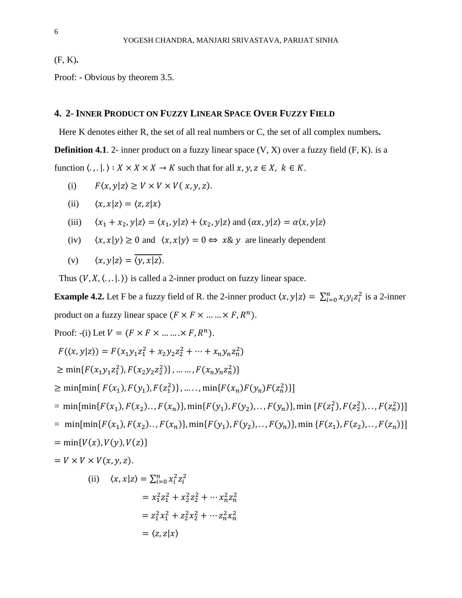(F, K)**.**

Proof: **-** Obvious by theorem 3.5.

# **4. 2- INNER PRODUCT ON FUZZY LINEAR SPACE OVER FUZZY FIELD**

Here K denotes either R, the set of all real numbers or C, the set of all complex numbers**.**

**Definition 4.1**. 2- inner product on a fuzzy linear space  $(V, X)$  over a fuzzy field  $(F, K)$ . is a function  $\langle ., .|. \rangle : X \times X \times X \to K$  such that for all  $x, y, z \in X$ ,  $k \in K$ .

(i) 
$$
F(x, y|z) \ge V \times V \times V(x, y, z)
$$
.

(ii) 
$$
\langle x, x | z \rangle = \langle z, z | x \rangle
$$

(iii) 
$$
\langle x_1 + x_2, y | z \rangle = \langle x_1, y | z \rangle + \langle x_2, y | z \rangle
$$
 and  $\langle \alpha x, y | z \rangle = \alpha \langle x, y | z \rangle$ 

(iv)  $\langle x, x | y \rangle \ge 0$  and  $\langle x, x | y \rangle = 0 \Leftrightarrow x \& y$  are linearly dependent

(v) 
$$
\langle x, y | z \rangle = \langle y, x | z \rangle
$$
.

Thus  $(V, X, \langle , , . \rangle)$  is called a 2-inner product on fuzzy linear space.

**Example 4.2.** Let F be a fuzzy field of R. the 2-inner product  $\langle x, y | z \rangle = \sum_{i=0}^{n} x_i y_i z_i^2$  is a 2-inner product on a fuzzy linear space  $(F \times F \times ... \times F, R^n)$ .

Proof: -(i) Let 
$$
V = (F \times F \times \dots \times F, R^n)
$$
.

$$
F(\langle x, y | z \rangle) = F(x_1 y_1 z_1^2 + x_2 y_2 z_2^2 + \dots + x_n y_n z_n^2)
$$

$$
\geq \min\{F(x_1y_1z_1^2), F(x_2y_2z_2^2)\}, \dots \dots, F(x_ny_nz_n^2)\}
$$

 $\geq \min[\min\{F(x_1), F(y_1), F(z_1^2)\}, \dots, \min\{F(x_n)F(y_n)\}$ )}]

$$
= \min[\min\{F(x_1), F(x_2), \ldots, F(x_n)\}, \min\{F(y_1), F(y_2), \ldots, F(y_n)\}, \min\{F(z_1^2), F(z_2^2), \ldots, F(z_n^2)\}\]
$$

$$
= \min[\min\{F(x_1), F(x_2), \ldots, F(x_n)\}, \min\{F(y_1), F(y_2), \ldots, F(y_n)\}, \min\{F(z_1), F(z_2), \ldots, F(z_n)\}\]
$$

$$
= \min\{V(x), V(y), V(z)\}\
$$

$$
= V \times V \times V(x, y, z).
$$

(ii) 
$$
\langle x, x | z \rangle = \sum_{i=0}^{n} x_i^2 z_i^2
$$
  
\t\t\t $= x_1^2 z_1^2 + x_2^2 z_2^2 + \cdots x_n^2 z_n^2$   
\t\t\t $= z_1^2 x_1^2 + z_2^2 x_2^2 + \cdots z_n^2 x_n^2$   
\t\t\t $= \langle z, z | x \rangle$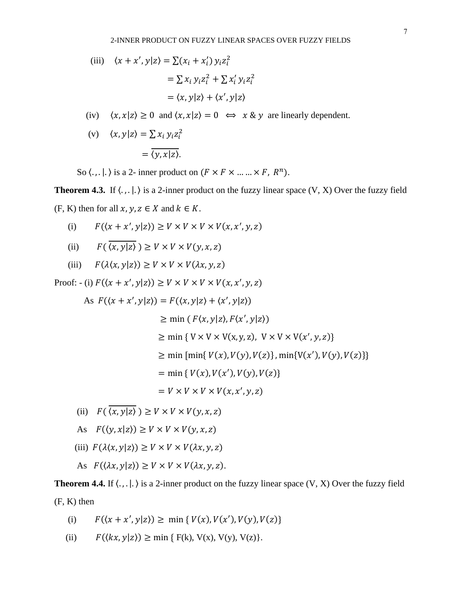(iii) 
$$
\langle x + x', y | z \rangle = \sum (x_i + x'_i) y_i z_i^2
$$

$$
= \sum x_i y_i z_i^2 + \sum x'_i y_i z_i^2
$$

$$
= \langle x, y | z \rangle + \langle x', y | z \rangle
$$

- (iv)  $\langle x, x | z \rangle \ge 0$  and  $\langle x, x | z \rangle = 0 \Leftrightarrow x \& y$  are linearly dependent.
- (v)  $\langle x, y | z \rangle = \sum x_i y_i z_i^2$  $=\overline{\langle y, x|z\rangle}.$

So  $\langle \ldots | \ldots \rangle$  is a 2- inner product on  $(F \times F \times \ldots \times F, R^n)$ .

**Theorem 4.3.** If  $\langle ., . | . \rangle$  is a 2-inner product on the fuzzy linear space  $(V, X)$  Over the fuzzy field  $(F, K)$  then for all  $x, y, z \in X$  and  $k \in K$ .

- (i)  $F(\langle x + x', y | z \rangle) \ge V \times V \times V \times V(x, x', y, z)$
- (ii)  $F(\overline{\langle x, y | z \rangle}) \ge V \times V \times V(\gamma, x, z)$
- (iii)  $F(\lambda \langle x, y | z \rangle) \ge V \times V \times V(\lambda x, y, z)$

Proof: - (i)  $F(\langle x + x', y | z \rangle) \ge V \times V \times V \times V(x, x', y, z)$ 

As 
$$
F(\langle x + x', y | z \rangle) = F(\langle x, y | z \rangle + \langle x', y | z \rangle)
$$
  
\n $\ge \min (F\langle x, y | z \rangle, F\langle x', y | z \rangle)$   
\n $\ge \min \{ V \times V \times V(x, y, z), V \times V \times V(x', y, z) \}$   
\n $\ge \min \{\min \{ V(x), V(y), V(z) \}, \min \{ V(x'), V(y), V(z) \} \}$   
\n $= \min \{ V(x), V(x'), V(y), V(z) \}$   
\n $= V \times V \times V \times V(x, x', y, z)$ 

- (ii)  $F(\overline{\langle x, y | z \rangle}) \ge V \times V \times V(y, x, z)$
- As  $F(\langle y, x | z \rangle) \ge V \times V \times V(y, x, z)$

(iii) 
$$
F(\lambda \langle x, y | z \rangle) \ge V \times V \times V(\lambda x, y, z)
$$

As 
$$
F(\langle \lambda x, y | z \rangle) \ge V \times V \times V(\lambda x, y, z)
$$
.

**Theorem 4.4.** If  $\langle \cdot, \cdot | \cdot \rangle$  is a 2-inner product on the fuzzy linear space  $(V, X)$  Over the fuzzy field (F, K) then

- (i)  $F(\langle x + x', y | z \rangle) \ge \min \{ V(x), V(x'), V(y), V(z) \}$
- (ii)  $F(\langle kx, y|z \rangle) \ge \min \{ F(k), V(x), V(y), V(z) \}.$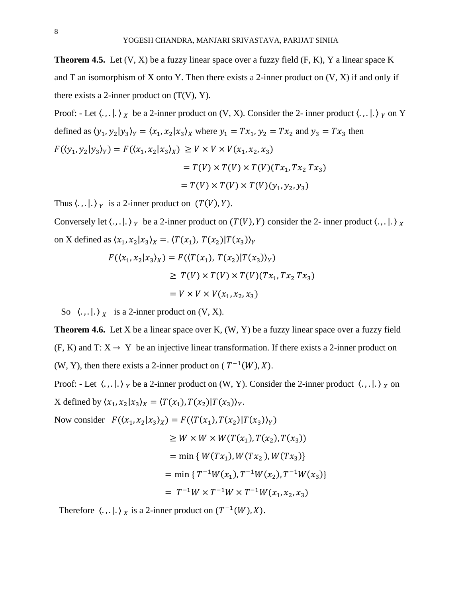**Theorem 4.5.** Let  $(V, X)$  be a fuzzy linear space over a fuzzy field  $(F, K)$ , Y a linear space K and T an isomorphism of X onto Y. Then there exists a 2-inner product on  $(V, X)$  if and only if there exists a 2-inner product on  $(T(V), Y)$ .

Proof: - Let  $\langle ., .|. \rangle_X$  be a 2-inner product on  $(V, X)$ . Consider the 2-inner product  $\langle ., .|. \rangle_Y$  on Y defined as  $(y_1, y_2 | y_3)_Y = (x_1, x_2 | x_3)_X$  where  $y_1 = Tx_1$ ,  $y_2 = Tx_2$  and  $y_3 = Tx_3$  then  $F(\langle y_1, y_2 | y_3 \rangle_Y) = F(\langle x_1, x_2 | x_3 \rangle_X) \ge V \times V \times V(x_1, x_2, x_3)$  $= T(V) \times T(V) \times T(V)(Tx_1, Tx_2, Tx_3)$  $= T(V) \times T(V) \times T(V)(y_1, y_2, y_3)$ 

Thus  $\langle ., .|. \rangle_Y$  is a 2-inner product on  $(T(V), Y)$ .

Conversely let  $\langle ., .|. \rangle_Y$  be a 2-inner product on  $(T(V), Y)$  consider the 2- inner product  $\langle ., .|. \rangle_X$ on X defined as  $\langle x_1, x_2 | x_3 \rangle_X = \langle T(x_1), T(x_2) | T(x_3) \rangle_Y$ 

$$
F(\langle x_1, x_2 | x_3 \rangle_X) = F(\langle T(x_1), T(x_2) | T(x_3) \rangle_Y)
$$
  
\n
$$
\geq T(V) \times T(V) \times T(V) (Tx_1, Tx_2, Tx_3)
$$
  
\n
$$
= V \times V \times V(x_1, x_2, x_3)
$$

So  $\langle \cdot, \cdot | \cdot \rangle_X$  is a 2-inner product on  $(V, X)$ .

**Theorem 4.6.** Let X be a linear space over K,  $(W, Y)$  be a fuzzy linear space over a fuzzy field  $(F, K)$  and T:  $X \rightarrow Y$  be an injective linear transformation. If there exists a 2-inner product on (W, Y), then there exists a 2-inner product on ( $T^{-1}(W)$ , X).

Proof: - Let  $\langle ., .|. \rangle_Y$  be a 2-inner product on  $(W, Y)$ . Consider the 2-inner product  $\langle ., .|. \rangle_X$  on X defined by  $\langle x_1, x_2 | x_3 \rangle_X = \langle T(x_1), T(x_2) | T(x_3) \rangle_Y$ .

Now consider  $F(\langle x_1, x_2 | x_3 \rangle_X) = F(\langle T(x_1), T(x_2) | T(x_3) \rangle_Y)$ 

$$
\geq W \times W \times W(T(x_1), T(x_2), T(x_3))
$$
  
= min { W(Tx<sub>1</sub>), W(Tx<sub>2</sub>), W(Tx<sub>3</sub>)}  
= min { T<sup>-1</sup>W(x<sub>1</sub>), T<sup>-1</sup>W(x<sub>2</sub>), T<sup>-1</sup>W(x<sub>3</sub>)}  
= T<sup>-1</sup>W \times T<sup>-1</sup>W \times T<sup>-1</sup>W(x<sub>1</sub>, x<sub>2</sub>, x<sub>3</sub>)

Therefore  $\langle ., . | . \rangle_X$  is a 2-inner product on  $(T^{-1}(W), X)$ .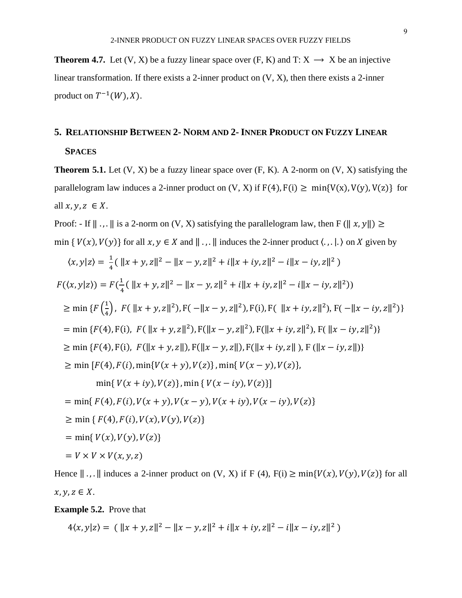**Theorem 4.7.** Let  $(V, X)$  be a fuzzy linear space over  $(F, K)$  and  $T: X \rightarrow X$  be an injective linear transformation. If there exists a 2-inner product on (V, X), then there exists a 2-inner product on  $T^{-1}(W)$ , X).

# **5. RELATIONSHIP BETWEEN 2- NORM AND 2- INNER PRODUCT ON FUZZY LINEAR**

**SPACES**

**Theorem 5.1.** Let  $(V, X)$  be a fuzzy linear space over  $(F, K)$ . A 2-norm on  $(V, X)$  satisfying the parallelogram law induces a 2-inner product on  $(V, X)$  if  $F(4)$ ,  $F(i) \ge \min\{V(x), V(y), V(z)\}$  for all  $x, y, z \in X$ .

Proof: - If  $\|\cdot\|$ ,  $\|\cdot\|$  is a 2-norm on  $(V, X)$  satisfying the parallelogram law, then F  $(\|x, y\|) \ge$ min {  $V(x)$ ,  $V(y)$ } for all  $x, y \in X$  and  $\|\cdot\|$ ,  $\|\cdot\|$  induces the 2-inner product  $\langle \cdot, \cdot | \cdot \rangle$  on X given by

$$
\langle x, y|z \rangle = \frac{1}{4} (||x + y, z||^2 - ||x - y, z||^2 + i||x + iy, z||^2 - i||x - iy, z||^2)
$$
  
\n
$$
F(\langle x, y|z \rangle) = F(\frac{1}{4} (||x + y, z||^2 - ||x - y, z||^2 + i||x + iy, z||^2 - i||x - iy, z||^2))
$$
  
\n
$$
\geq \min \{ F(\frac{1}{4}), F(||x + y, z||^2), F(-||x - y, z||^2), F(i), F(||x + iy, z||^2), F(-||x - iy, z||^2) \}
$$
  
\n
$$
= \min \{ F(4), F(i), F(||x + y, z||^2), F(||x - y, z||^2), F(||x + iy, z||^2), F(||x - iy, z||^2) \}
$$
  
\n
$$
\geq \min \{ F(4), F(i), F(||x + y, z||), F(||x - y, z||), F(||x + iy, z||), F(||x - iy, z||) \}
$$
  
\n
$$
\geq \min \{ F(4), F(i), \min \{ V(x + y), V(z) \}, \min \{ V(x - y), V(z) \},
$$
  
\n
$$
\min \{ V(x + iy), V(z) \}, \min \{ V(x - iy), V(z) \} ]
$$
  
\n
$$
= \min \{ F(4), F(i), V(x + y), V(x - y), V(x + iy), V(x - iy), V(z) \}
$$
  
\n
$$
\geq \min \{ F(4), F(i), V(x), V(y), V(z) \}
$$
  
\n
$$
= \min \{ V(x), V(y), V(z) \}
$$
  
\n
$$
= V \times V \times V(x, y, z)
$$

Hence  $\|\,\ldots\|$  induces a 2-inner product on  $(V, X)$  if F  $(4)$ ,  $F(i) \ge \min\{V(x), V(y), V(z)\}$  for all  $x, y, z \in X$ .

**Example 5.2.** Prove that

$$
4\langle x,y|z\rangle = (\|x+y,z\|^2 - \|x-y,z\|^2 + i\|x+iy,z\|^2 - i\|x-iy,z\|^2)
$$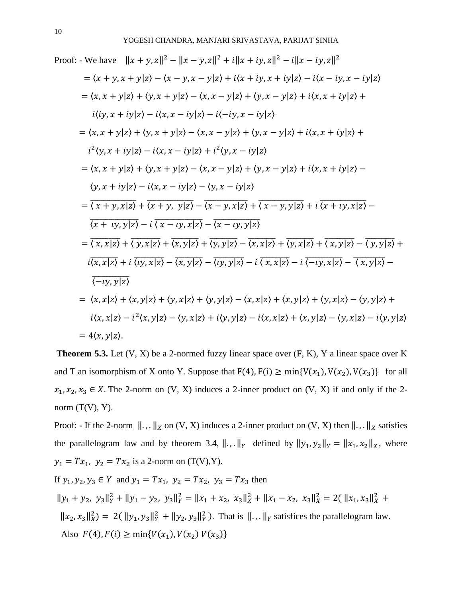Proof: - We have 
$$
||x + y, z||^2 - ||x - y, z||^2 + i||x + iy, z||^2 - i||x - iy, z||^2
$$
  
\n
$$
= \langle x + y, x + y|z \rangle - \langle x - y, x - y|z \rangle + i\langle x + iy, x + iy|z \rangle - i\langle x - iy, x - iy|z \rangle
$$
\n
$$
= \langle x, x + y|z \rangle + \langle y, x + y|z \rangle - \langle x, x - y|z \rangle + \langle y, x - y|z \rangle + i\langle x, x + iy|z \rangle + i\langle y, x + iy|z \rangle - i\langle x, x - iy|z \rangle - i\langle -iy, x - iy|z \rangle
$$
\n
$$
= \langle x, x + y|z \rangle + \langle y, x + y|z \rangle - \langle x, x - y|z \rangle + \langle y, x - y|z \rangle + i\langle x, x + iy|z \rangle + i^2 \langle y, x + iy|z \rangle - i\langle x, x - iy|z \rangle + i^2 \langle y, x - iy|z \rangle
$$
\n
$$
= \langle x, x + y|z \rangle + \langle y, x + y|z \rangle - \langle x, x - y|z \rangle + \langle y, x - y|z \rangle + i\langle x, x + iy|z \rangle - \langle y, x + iy|z \rangle - i\langle x, x - iy|z \rangle - \langle y, x - iy|z \rangle
$$
\n
$$
= \overline{\langle x + y, x|z \rangle} + \overline{\langle x + y, y|z \rangle} - \overline{\langle x - y, x|z \rangle} + \overline{\langle x - y, y|z \rangle} + i\overline{\langle x + y, x|z \rangle} - \overline{\langle x + iy, y|z \rangle} - i\overline{\langle x - iy, y|z \rangle}
$$
\n
$$
= \overline{\langle x, x|z \rangle} + \overline{\langle y, x|z \rangle} + \overline{\langle x, y|z \rangle} - \overline{\langle x - iy, y|z \rangle} - \overline{\langle x, x|z \rangle} + \overline{\langle y, x|z \rangle} - \overline{\langle y, y|z \rangle} - i\overline{\langle x, y|z \rangle} - \overline{\langle y, y|z \rangle} - i\overline{\langle x, y|z \rangle} - \overline{\langle y, y|z \rangle} - i\overline{\langle y, y|z \rangle} - i\overline{\langle
$$

**Theorem 5.3.** Let (V, X) be a 2-normed fuzzy linear space over (F, K), Y a linear space over K and T an isomorphism of X onto Y. Suppose that  $F(4)$ ,  $F(i) \ge \min\{V(x_1), V(x_2), V(x_3)\}\$  for all  $x_1, x_2, x_3 \in X$ . The 2-norm on (V, X) induces a 2-inner product on (V, X) if and only if the 2norm  $(T(V), Y)$ .

Proof: - If the 2-norm  $\| \dots \|_X$  on  $(V, X)$  induces a 2-inner product on  $(V, X)$  then  $\| \dots \|_X$  satisfies the parallelogram law and by theorem 3.4,  $\|\cdot\|_Y$  defined by  $\|y_1, y_2\|_Y = \|x_1, x_2\|_X$ , where  $y_1 = Tx_1$ ,  $y_2 = Tx_2$  is a 2-norm on (T(V),Y).

If  $y_1, y_2, y_3 \in Y$  and  $y_1 = Tx_1$ ,  $y_2 = Tx_2$ ,  $y_3 = Tx_3$  then

 $||y_1 + y_2, y_3||_Y^2 + ||y_1 - y_2, y_3||_Y^2 = ||x_1 + x_2, x_3||_X^2 + ||x_1 - x_2, x_3||_X^2 = 2(||x_1, x_3||_X^2 + ||x_3||_X^2)$  $||x_2, x_3||_X^2$  = 2(  $||y_1, y_3||_Y^2 + ||y_2, y_3||_Y^2$  ). That is  $||., ||_Y$  satisfices the parallelogram law. Also  $F(4)$ ,  $F(i) \ge \min\{V(x_1), V(x_2) V(x_3)\}$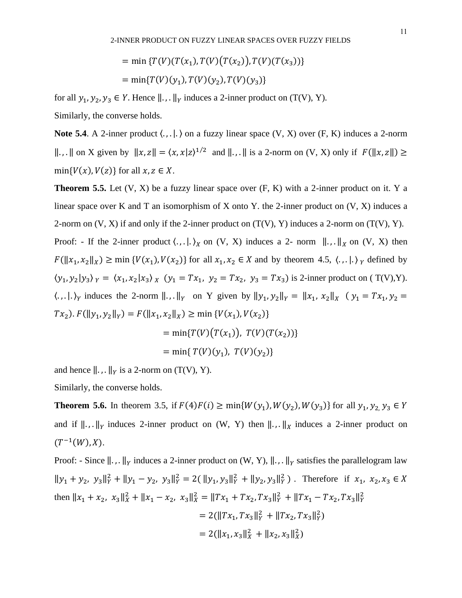$$
= \min \{ T(V)(T(x_1), T(V)(T(x_2)), T(V)(T(x_3)) \}
$$

$$
= \min \{ T(V)(y_1), T(V)(y_2), T(V)(y_3) \}
$$

for all  $y_1, y_2, y_3 \in Y$ . Hence  $\|\cdot\|_Y$  induces a 2-inner product on (T(V), Y).

Similarly, the converse holds.

**Note 5.4.** A 2-inner product  $\langle ., ., . \rangle$  on a fuzzy linear space  $(V, X)$  over  $(F, K)$  induces a 2-norm  $\|\cdot\|$ ,  $\|\cdot\|$  on X given by  $\|x, z\| = \langle x, x|z\rangle^{1/2}$  and  $\|\cdot\|$ ,  $\|\cdot\|$  is a 2-norm on  $(V, X)$  only if  $F(\|x, z\|) \ge$  $min{V(x), V(z)}$  for all  $x, z \in X$ .

**Theorem 5.5.** Let (V, X) be a fuzzy linear space over (F, K) with a 2-inner product on it. Y a linear space over K and T an isomorphism of X onto Y. the 2-inner product on  $(V, X)$  induces a 2-norm on  $(V, X)$  if and only if the 2-inner product on  $(T(V), Y)$  induces a 2-norm on  $(T(V), Y)$ . Proof: - If the 2-inner product  $\langle ., . | . \rangle_X$  on  $(V, X)$  induces a 2- norm  $||. , . ||_X$  on  $(V, X)$  then  $F(||x_1, x_2||_X) \ge \min \{V(x_1), V(x_2)\}$  for all  $x_1, x_2 \in X$  and by theorem 4.5,  $\langle \dots | \cdot \rangle_Y$  defined by  $(y_1, y_2 | y_3)$   $_y = (x_1, x_2 | x_3)$   $_x (y_1 = Tx_1, y_2 = Tx_2, y_3 = Tx_3)$  is 2-inner product on (T(V), Y).  $\langle ., .|. \rangle_Y$  induces the 2-norm  $||, .||_Y$  on Y given by  $||y_1, y_2||_Y = ||x_1, x_2||_X$   $(y_1 = Tx_1, y_2 = x_1)$  $Tx_2$ ).  $F(\|y_1, y_2\|_Y) = F(\|x_1, x_2\|_X) \ge \min \{V(x_1), V(x_2)\}$  $= \min\{T(V)(T(x_1)), T(V)(T(x_2))\}$ 

 $=$  min{  $T(V)(y_1)$ ,  $T(V)(y_2)$ }

and hence  $\| \cdot \|_Y$  is a 2-norm on (T(V), Y).

Similarly, the converse holds.

**Theorem 5.6.** In theorem 3.5, if  $F(4)F(i) \ge \min\{W(y_1), W(y_2), W(y_3)\}$  for all  $y_1, y_2, y_3 \in Y$ and if  $\|\cdot\|_Y$  induces 2-inner product on (W, Y) then  $\|\cdot\|_X$  induces a 2-inner product on  $(T^{-1}(W),X).$ 

Proof: - Since  $\|\cdot\|_Y$  induces a 2-inner product on  $(W, Y)$ ,  $\|\cdot\|_Y$  satisfies the parallelogram law  $||y_1 + y_2, y_3||_Y^2 + ||y_1 - y_2, y_3||_Y^2 = 2(||y_1, y_3||_Y^2 + ||y_2, y_3||_Y^2)$ . Therefore if  $x_1, x_2, x_3 \in X$ then  $||x_1 + x_2, x_3||_X^2 + ||x_1 - x_2, x_3||_X^2 = ||Tx_1 + Tx_2, Tx_3||_Y^2 + ||Tx_1 - Tx_2, Tx_3||_Y^2$  $= 2(||Tx_1, Tx_3||_Y^2 + ||Tx_2, Tx_3||_Y^2)$  $= 2(||x_1, x_3||_X^2 + ||x_2, x_3||_X^2)$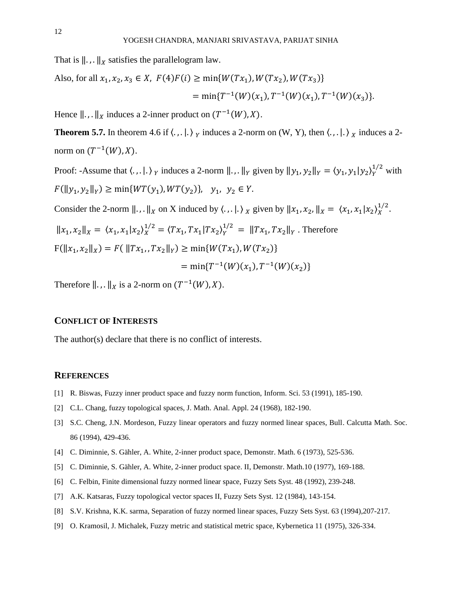That is  $\|\cdot\|_X$  satisfies the parallelogram law.

Also, for all 
$$
x_1, x_2, x_3 \in X
$$
,  $F(4)F(i) \ge \min\{W(Tx_1), W(Tx_2), W(Tx_3)\}$   
=  $\min\{T^{-1}(W)(x_1), T^{-1}(W)(x_1), T^{-1}(W)(x_3)\}.$ 

Hence  $\|\cdot\|_X$  induces a 2-inner product on  $(T^{-1}(W),X)$ .

**Theorem 5.7.** In theorem 4.6 if  $\langle ., . | . \rangle$   $_{Y}$  induces a 2-norm on  $(W, Y)$ , then  $\langle ., . | . \rangle$   $_{X}$  induces a 2norm on  $(T^{-1}(W),X)$ .

Proof: -Assume that  $\langle ., . | . \rangle_Y$  induces a 2-norm  $||, . ||_Y$  given by  $||y_1, y_2||_Y = \langle y_1, y_1 | y_2 \rangle_Y^{1/2}$  with  $F(||y_1, y_2||_Y) \ge \min\{WT(y_1), WT(y_2)\}, \quad y_1, y_2 \in Y.$ 

Consider the 2-norm  $||.,||_X$  on X induced by  $\langle.,.|.\rangle_X$  given by  $||x_1, x_2,||_X = \langle x_1, x_1 | x_2 \rangle_X^{1/2}$ .

$$
||x_1, x_2||_X = \langle x_1, x_1 | x_2 \rangle_X^{1/2} = \langle Tx_1, Tx_1 | Tx_2 \rangle_Y^{1/2} = ||Tx_1, Tx_2||_Y
$$
. Therefore

$$
F(||x_1, x_2||_X) = F(||Tx_1, Tx_2||_Y) \ge \min\{W(Tx_1), W(Tx_2)\}
$$

$$
= \min\{T^{-1}(W)(x_1), T^{-1}(W)(x_2)\}\
$$

Therefore  $\|\ldots\|_X$  is a 2-norm on  $(T^{-1}(W),X)$ .

## **CONFLICT OF INTERESTS**

The author(s) declare that there is no conflict of interests.

#### **REFERENCES**

- [1] R. Biswas, Fuzzy inner product space and fuzzy norm function, Inform. Sci. 53 (1991), 185-190.
- [2] C.L. Chang, fuzzy topological spaces, J. Math. Anal. Appl. 24 (1968), 182-190.
- [3] S.C. Cheng, J.N. Mordeson, Fuzzy linear operators and fuzzy normed linear spaces, Bull. Calcutta Math. Soc. 86 (1994), 429-436.
- [4] C. Diminnie, S. Gähler, A. White, 2-inner product space, Demonstr. Math. 6 (1973), 525-536.
- [5] C. Diminnie, S. Gähler, A. White, 2-inner product space. II, Demonstr. Math.10 (1977), 169-188.
- [6] C. Felbin, Finite dimensional fuzzy normed linear space, Fuzzy Sets Syst. 48 (1992), 239-248.
- [7] A.K. Katsaras, Fuzzy topological vector spaces II, Fuzzy Sets Syst. 12 (1984), 143-154.
- [8] S.V. Krishna, K.K. sarma, Separation of fuzzy normed linear spaces, Fuzzy Sets Syst. 63 (1994),207-217.
- [9] O. Kramosil, J. Michalek, Fuzzy metric and statistical metric space, Kybernetica 11 (1975), 326-334.